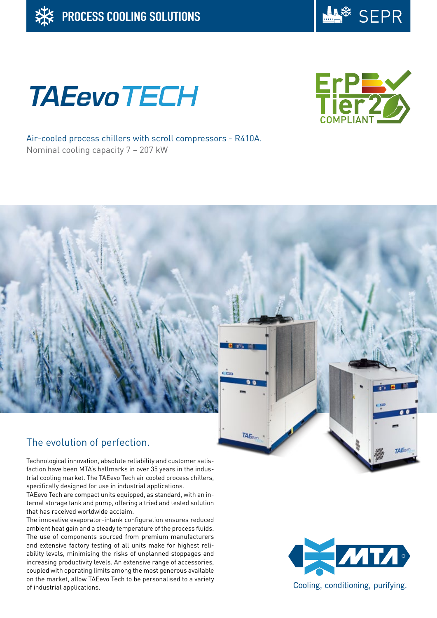

# **TAEevoTECH**



Air-cooled process chillers with scroll compressors - R410A. Nominal cooling capacity 7 – 207 kW

# The evolution of perfection.

Technological innovation, absolute reliability and customer satisfaction have been MTA's hallmarks in over 35 years in the industrial cooling market. The TAEevo Tech air cooled process chillers, specifically designed for use in industrial applications.

TAEevo Tech are compact units equipped, as standard, with an internal storage tank and pump, offering a tried and tested solution that has received worldwide acclaim.

The innovative evaporator-intank configuration ensures reduced ambient heat gain and a steady temperature of the process fluids. The use of components sourced from premium manufacturers and extensive factory testing of all units make for highest reliability levels, minimising the risks of unplanned stoppages and increasing productivity levels. An extensive range of accessories, coupled with operating limits among the most generous available on the market, allow TAEevo Tech to be personalised to a variety of industrial applications.



TAF